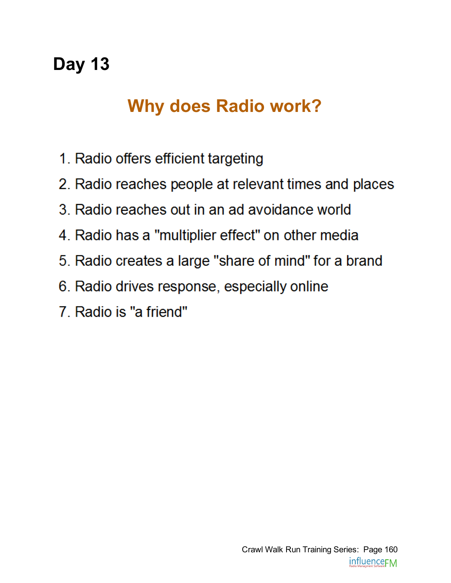# Why does Radio work?

- 1. Radio offers efficient targeting
- 2. Radio reaches people at relevant times and places
- 3. Radio reaches out in an ad avoidance world
- 4. Radio has a "multiplier effect" on other media
- 5. Radio creates a large "share of mind" for a brand
- 6. Radio drives response, especially online
- 7. Radio is "a friend"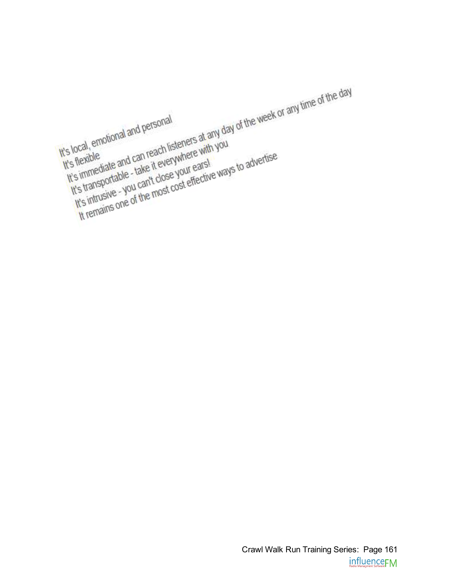Crawl Walk Run Training Series: Page 161influence<sub>FM</sub>

t's local, emotional and personal<br>It's local, emotional and personal<br>It's flexible<br>It's immediate and can reach listeners at any day of the week or any time of the day<br>It's immediate and can reach listeners with you It's local, emotional and personal s local, emotional and P<br>is flexible<br>it's flexible and can reach listeners at any you<br>it's immediate and can reach listeners with you<br>it's transportable - take it everywhere with you<br>it's transportable - take it everywhere ocal, enforce<br>flexible<br>flexible<br>s immediate and can reach listenere with you<br>s immediate and can reach listenere with you<br>s immediate and can't close your ears!<br>it's intrusive - you can't close your ears!<br>It's intrusive - It's local, b.<br>It's flexible is flexible<br>the immediate and can reach invitere which<br>the immediate and can't everywhere which<br>the intrusive - you can't close your effective<br>It's intrusive - you can't close cost effective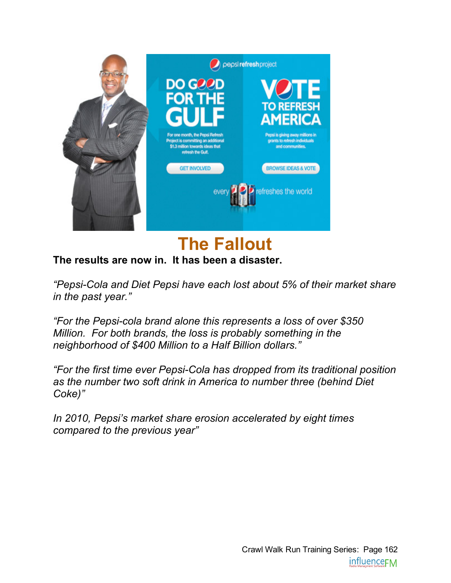

### The Fallout

#### The results are now in. It has been a disaster.

*"PepsiCola and Diet Pepsi have each lost about 5% of their market share in the past year."*

*"For the Pepsicola brand alone this represents a loss of over \$350 Million. For both brands, the loss is probably something in the neighborhood of \$400 Million to a Half Billion dollars."*

*"For the first time ever PepsiCola has dropped from its traditional position as the number two soft drink in America to number three (behind Diet Coke)"*

*In 2010, Pepsi's market share erosion accelerated by eight times compared to the previous year"*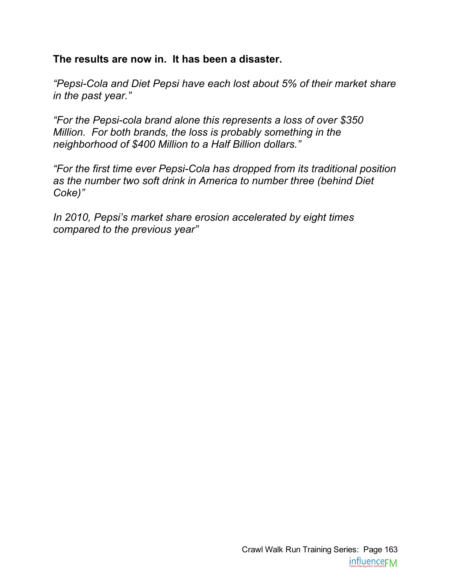#### The results are now in. It has been a disaster.

*"PepsiCola and Diet Pepsi have each lost about 5% of their market share in the past year."*

*"For the Pepsicola brand alone this represents a loss of over \$350 Million. For both brands, the loss is probably something in the neighborhood of \$400 Million to a Half Billion dollars."*

*"For the first time ever PepsiCola has dropped from its traditional position as the number two soft drink in America to number three (behind Diet Coke)"*

*In 2010, Pepsi's market share erosion accelerated by eight times compared to the previous year"*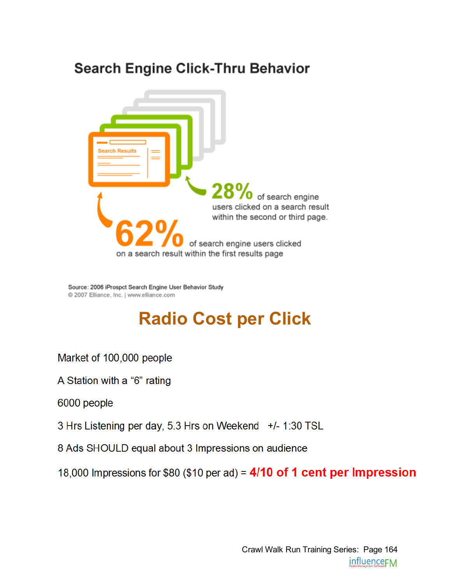### **Search Engine Click-Thru Behavior**



Source: 2006 iProspct Search Engine User Behavior Study @ 2007 Elliance, Inc. | www.elliance.com

### Radio Cost per Click

Market of 100,000 people

A Station with a "6" rating

6000 people

3 Hrs Listening per day, 5.3 Hrs on Weekend +/- 1:30 TSL

8 Ads SHOULD equal about 3 Impressions on audience

18,000 Impressions for \$80 (\$10 per ad) = 4/10 of 1 cent per Impression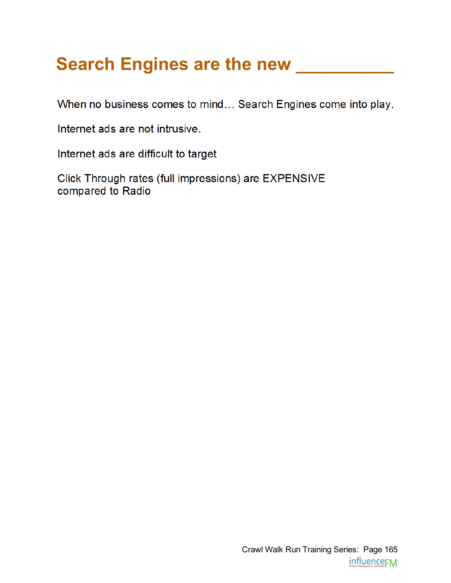# Search Engines are the new \_\_\_\_\_\_\_\_\_\_

When no business comes to mind... Search Engines come into play.

Internet ads are not intrusive.

Internet ads are difficult to target

Click Through rates (full impressions) are EXPENSIVE compared to Radio